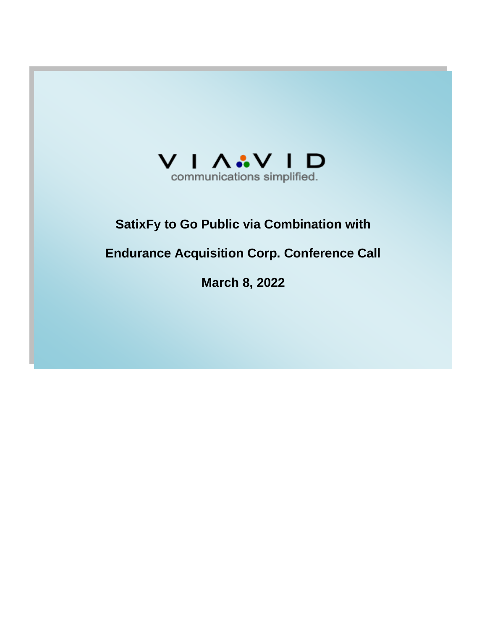

# **SatixFy to Go Public via Combination with**

# **Endurance Acquisition Corp. Conference Call**

**March 8, 2022**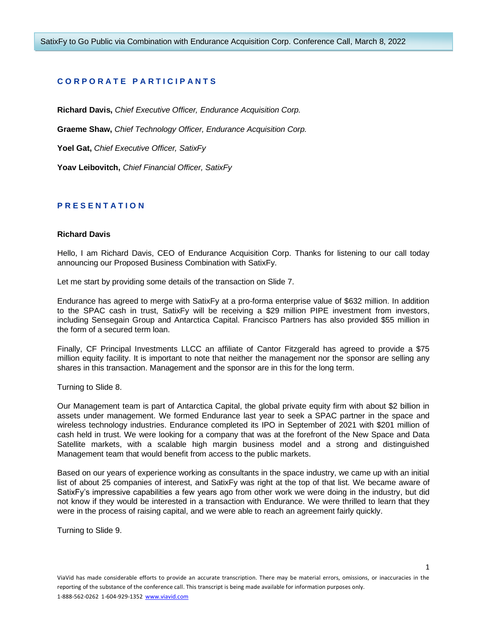# **C O R P O R A T E P A R T I C I P A N T S**

**Richard Davis,** *Chief Executive Officer, Endurance Acquisition Corp.*

**Graeme Shaw,** *Chief Technology Officer, Endurance Acquisition Corp.*

**Yoel Gat,** *Chief Executive Officer, SatixFy*

**Yoav Leibovitch,** *Chief Financial Officer, SatixFy*

# **P R E S E N T A T I O N**

#### **Richard Davis**

Hello, I am Richard Davis, CEO of Endurance Acquisition Corp. Thanks for listening to our call today announcing our Proposed Business Combination with SatixFy.

Let me start by providing some details of the transaction on Slide 7.

Endurance has agreed to merge with SatixFy at a pro-forma enterprise value of \$632 million. In addition to the SPAC cash in trust, SatixFy will be receiving a \$29 million PIPE investment from investors, including Sensegain Group and Antarctica Capital. Francisco Partners has also provided \$55 million in the form of a secured term loan.

Finally, CF Principal Investments LLCC an affiliate of Cantor Fitzgerald has agreed to provide a \$75 million equity facility. It is important to note that neither the management nor the sponsor are selling any shares in this transaction. Management and the sponsor are in this for the long term.

Turning to Slide 8.

Our Management team is part of Antarctica Capital, the global private equity firm with about \$2 billion in assets under management. We formed Endurance last year to seek a SPAC partner in the space and wireless technology industries. Endurance completed its IPO in September of 2021 with \$201 million of cash held in trust. We were looking for a company that was at the forefront of the New Space and Data Satellite markets, with a scalable high margin business model and a strong and distinguished Management team that would benefit from access to the public markets.

Based on our years of experience working as consultants in the space industry, we came up with an initial list of about 25 companies of interest, and SatixFy was right at the top of that list. We became aware of SatixFy's impressive capabilities a few years ago from other work we were doing in the industry, but did not know if they would be interested in a transaction with Endurance. We were thrilled to learn that they were in the process of raising capital, and we were able to reach an agreement fairly quickly.

Turning to Slide 9.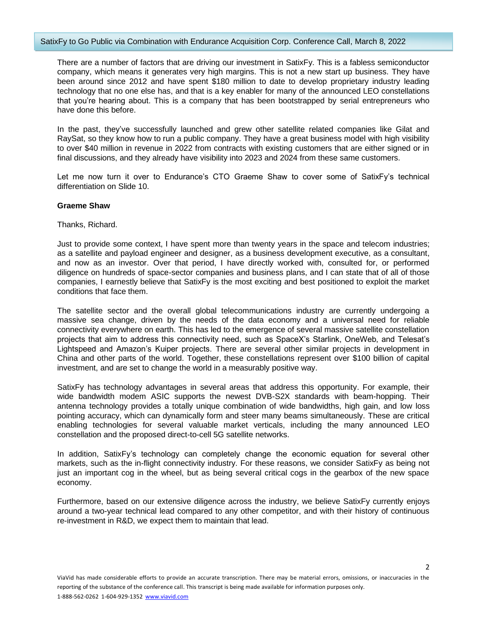#### SatixFy to Go Public via Combination with Endurance Acquisition Corp. Conference Call, March 8, 2022

There are a number of factors that are driving our investment in SatixFy. This is a fabless semiconductor company, which means it generates very high margins. This is not a new start up business. They have been around since 2012 and have spent \$180 million to date to develop proprietary industry leading technology that no one else has, and that is a key enabler for many of the announced LEO constellations that you're hearing about. This is a company that has been bootstrapped by serial entrepreneurs who have done this before.

In the past, they've successfully launched and grew other satellite related companies like Gilat and RaySat, so they know how to run a public company. They have a great business model with high visibility to over \$40 million in revenue in 2022 from contracts with existing customers that are either signed or in final discussions, and they already have visibility into 2023 and 2024 from these same customers.

Let me now turn it over to Endurance's CTO Graeme Shaw to cover some of SatixFy's technical differentiation on Slide 10.

## **Graeme Shaw**

Thanks, Richard.

Just to provide some context, I have spent more than twenty years in the space and telecom industries; as a satellite and payload engineer and designer, as a business development executive, as a consultant, and now as an investor. Over that period, I have directly worked with, consulted for, or performed diligence on hundreds of space-sector companies and business plans, and I can state that of all of those companies, I earnestly believe that SatixFy is the most exciting and best positioned to exploit the market conditions that face them.

The satellite sector and the overall global telecommunications industry are currently undergoing a massive sea change, driven by the needs of the data economy and a universal need for reliable connectivity everywhere on earth. This has led to the emergence of several massive satellite constellation projects that aim to address this connectivity need, such as SpaceX's Starlink, OneWeb, and Telesat's Lightspeed and Amazon's Kuiper projects. There are several other similar projects in development in China and other parts of the world. Together, these constellations represent over \$100 billion of capital investment, and are set to change the world in a measurably positive way.

SatixFy has technology advantages in several areas that address this opportunity. For example, their wide bandwidth modem ASIC supports the newest DVB-S2X standards with beam-hopping. Their antenna technology provides a totally unique combination of wide bandwidths, high gain, and low loss pointing accuracy, which can dynamically form and steer many beams simultaneously. These are critical enabling technologies for several valuable market verticals, including the many announced LEO constellation and the proposed direct-to-cell 5G satellite networks.

In addition, SatixFy's technology can completely change the economic equation for several other markets, such as the in-flight connectivity industry. For these reasons, we consider SatixFy as being not just an important cog in the wheel, but as being several critical cogs in the gearbox of the new space economy.

Furthermore, based on our extensive diligence across the industry, we believe SatixFy currently enjoys around a two-year technical lead compared to any other competitor, and with their history of continuous re-investment in R&D, we expect them to maintain that lead.

 $\overline{2}$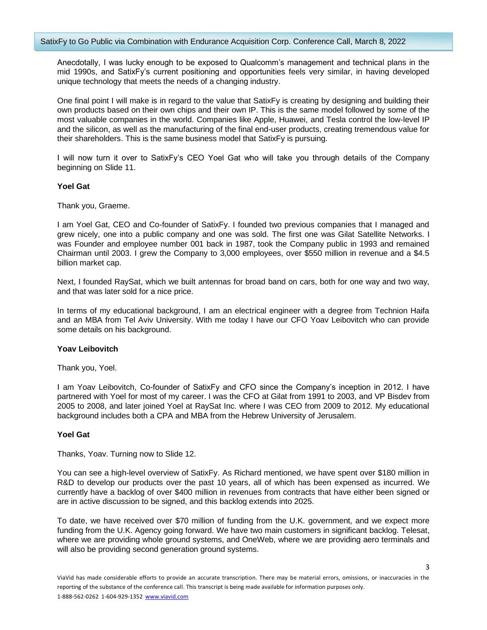Anecdotally, I was lucky enough to be exposed to Qualcomm's management and technical plans in the mid 1990s, and SatixFy's current positioning and opportunities feels very similar, in having developed unique technology that meets the needs of a changing industry.

One final point I will make is in regard to the value that SatixFy is creating by designing and building their own products based on their own chips and their own IP. This is the same model followed by some of the most valuable companies in the world. Companies like Apple, Huawei, and Tesla control the low-level IP and the silicon, as well as the manufacturing of the final end-user products, creating tremendous value for their shareholders. This is the same business model that SatixFy is pursuing.

I will now turn it over to SatixFy's CEO Yoel Gat who will take you through details of the Company beginning on Slide 11.

## **Yoel Gat**

Thank you, Graeme.

I am Yoel Gat, CEO and Co-founder of SatixFy. I founded two previous companies that I managed and grew nicely, one into a public company and one was sold. The first one was Gilat Satellite Networks. I was Founder and employee number 001 back in 1987, took the Company public in 1993 and remained Chairman until 2003. I grew the Company to 3,000 employees, over \$550 million in revenue and a \$4.5 billion market cap.

Next, I founded RaySat, which we built antennas for broad band on cars, both for one way and two way, and that was later sold for a nice price.

In terms of my educational background, I am an electrical engineer with a degree from Technion Haifa and an MBA from Tel Aviv University. With me today I have our CFO Yoav Leibovitch who can provide some details on his background.

## **Yoav Leibovitch**

Thank you, Yoel.

I am Yoav Leibovitch, Co-founder of SatixFy and CFO since the Company's inception in 2012. I have partnered with Yoel for most of my career. I was the CFO at Gilat from 1991 to 2003, and VP Bisdev from 2005 to 2008, and later joined Yoel at RaySat Inc. where I was CEO from 2009 to 2012. My educational background includes both a CPA and MBA from the Hebrew University of Jerusalem.

#### **Yoel Gat**

Thanks, Yoav. Turning now to Slide 12.

You can see a high-level overview of SatixFy. As Richard mentioned, we have spent over \$180 million in R&D to develop our products over the past 10 years, all of which has been expensed as incurred. We currently have a backlog of over \$400 million in revenues from contracts that have either been signed or are in active discussion to be signed, and this backlog extends into 2025.

To date, we have received over \$70 million of funding from the U.K. government, and we expect more funding from the U.K. Agency going forward. We have two main customers in significant backlog. Telesat, where we are providing whole ground systems, and OneWeb, where we are providing aero terminals and will also be providing second generation ground systems.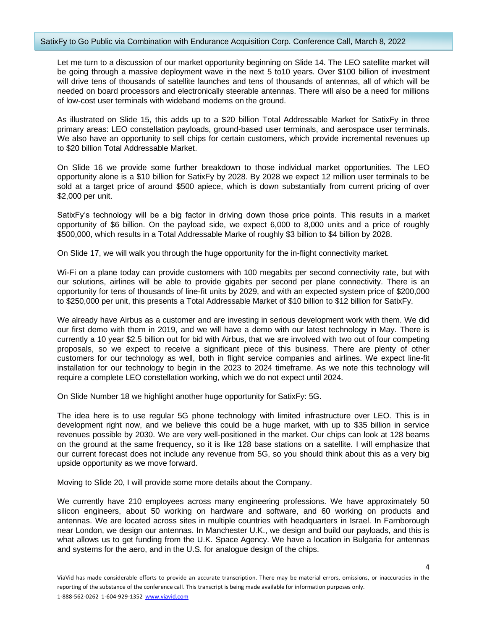Let me turn to a discussion of our market opportunity beginning on Slide 14. The LEO satellite market will be going through a massive deployment wave in the next 5 to10 years. Over \$100 billion of investment will drive tens of thousands of satellite launches and tens of thousands of antennas, all of which will be needed on board processors and electronically steerable antennas. There will also be a need for millions of low-cost user terminals with wideband modems on the ground.

As illustrated on Slide 15, this adds up to a \$20 billion Total Addressable Market for SatixFy in three primary areas: LEO constellation payloads, ground-based user terminals, and aerospace user terminals. We also have an opportunity to sell chips for certain customers, which provide incremental revenues up to \$20 billion Total Addressable Market.

On Slide 16 we provide some further breakdown to those individual market opportunities. The LEO opportunity alone is a \$10 billion for SatixFy by 2028. By 2028 we expect 12 million user terminals to be sold at a target price of around \$500 apiece, which is down substantially from current pricing of over \$2,000 per unit.

SatixFy's technology will be a big factor in driving down those price points. This results in a market opportunity of \$6 billion. On the payload side, we expect 6,000 to 8,000 units and a price of roughly \$500,000, which results in a Total Addressable Marke of roughly \$3 billion to \$4 billion by 2028.

On Slide 17, we will walk you through the huge opportunity for the in-flight connectivity market.

Wi-Fi on a plane today can provide customers with 100 megabits per second connectivity rate, but with our solutions, airlines will be able to provide gigabits per second per plane connectivity. There is an opportunity for tens of thousands of line-fit units by 2029, and with an expected system price of \$200,000 to \$250,000 per unit, this presents a Total Addressable Market of \$10 billion to \$12 billion for SatixFy.

We already have Airbus as a customer and are investing in serious development work with them. We did our first demo with them in 2019, and we will have a demo with our latest technology in May. There is currently a 10 year \$2.5 billion out for bid with Airbus, that we are involved with two out of four competing proposals, so we expect to receive a significant piece of this business. There are plenty of other customers for our technology as well, both in flight service companies and airlines. We expect line-fit installation for our technology to begin in the 2023 to 2024 timeframe. As we note this technology will require a complete LEO constellation working, which we do not expect until 2024.

On Slide Number 18 we highlight another huge opportunity for SatixFy: 5G.

The idea here is to use regular 5G phone technology with limited infrastructure over LEO. This is in development right now, and we believe this could be a huge market, with up to \$35 billion in service revenues possible by 2030. We are very well-positioned in the market. Our chips can look at 128 beams on the ground at the same frequency, so it is like 128 base stations on a satellite. I will emphasize that our current forecast does not include any revenue from 5G, so you should think about this as a very big upside opportunity as we move forward.

Moving to Slide 20, I will provide some more details about the Company.

We currently have 210 employees across many engineering professions. We have approximately 50 silicon engineers, about 50 working on hardware and software, and 60 working on products and antennas. We are located across sites in multiple countries with headquarters in Israel. In Farnborough near London, we design our antennas. In Manchester U.K., we design and build our payloads, and this is what allows us to get funding from the U.K. Space Agency. We have a location in Bulgaria for antennas and systems for the aero, and in the U.S. for analogue design of the chips.

 $\Delta$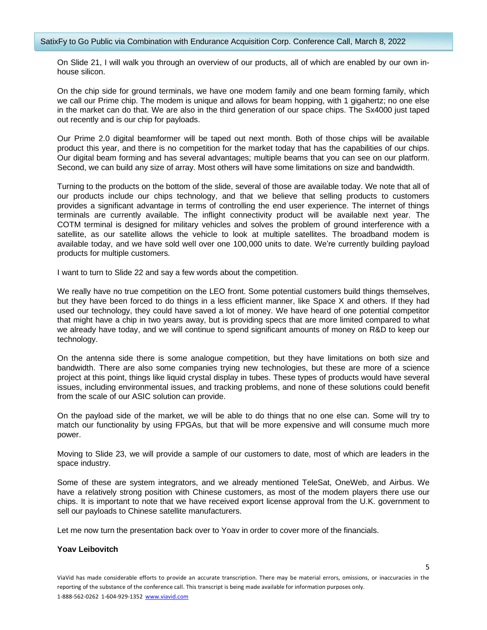On Slide 21, I will walk you through an overview of our products, all of which are enabled by our own inhouse silicon.

On the chip side for ground terminals, we have one modem family and one beam forming family, which we call our Prime chip. The modem is unique and allows for beam hopping, with 1 gigahertz; no one else in the market can do that. We are also in the third generation of our space chips. The Sx4000 just taped out recently and is our chip for payloads.

Our Prime 2.0 digital beamformer will be taped out next month. Both of those chips will be available product this year, and there is no competition for the market today that has the capabilities of our chips. Our digital beam forming and has several advantages; multiple beams that you can see on our platform. Second, we can build any size of array. Most others will have some limitations on size and bandwidth.

Turning to the products on the bottom of the slide, several of those are available today. We note that all of our products include our chips technology, and that we believe that selling products to customers provides a significant advantage in terms of controlling the end user experience. The internet of things terminals are currently available. The inflight connectivity product will be available next year. The COTM terminal is designed for military vehicles and solves the problem of ground interference with a satellite, as our satellite allows the vehicle to look at multiple satellites. The broadband modem is available today, and we have sold well over one 100,000 units to date. We're currently building payload products for multiple customers.

I want to turn to Slide 22 and say a few words about the competition.

We really have no true competition on the LEO front. Some potential customers build things themselves, but they have been forced to do things in a less efficient manner, like Space X and others. If they had used our technology, they could have saved a lot of money. We have heard of one potential competitor that might have a chip in two years away, but is providing specs that are more limited compared to what we already have today, and we will continue to spend significant amounts of money on R&D to keep our technology.

On the antenna side there is some analogue competition, but they have limitations on both size and bandwidth. There are also some companies trying new technologies, but these are more of a science project at this point, things like liquid crystal display in tubes. These types of products would have several issues, including environmental issues, and tracking problems, and none of these solutions could benefit from the scale of our ASIC solution can provide.

On the payload side of the market, we will be able to do things that no one else can. Some will try to match our functionality by using FPGAs, but that will be more expensive and will consume much more power.

Moving to Slide 23, we will provide a sample of our customers to date, most of which are leaders in the space industry.

Some of these are system integrators, and we already mentioned TeleSat, OneWeb, and Airbus. We have a relatively strong position with Chinese customers, as most of the modem players there use our chips. It is important to note that we have received export license approval from the U.K. government to sell our payloads to Chinese satellite manufacturers.

Let me now turn the presentation back over to Yoav in order to cover more of the financials.

## **Yoav Leibovitch**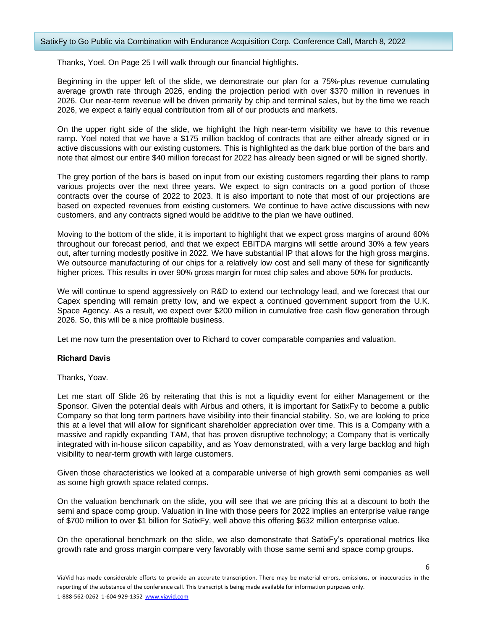Thanks, Yoel. On Page 25 I will walk through our financial highlights.

Beginning in the upper left of the slide, we demonstrate our plan for a 75%-plus revenue cumulating average growth rate through 2026, ending the projection period with over \$370 million in revenues in 2026. Our near-term revenue will be driven primarily by chip and terminal sales, but by the time we reach 2026, we expect a fairly equal contribution from all of our products and markets.

On the upper right side of the slide, we highlight the high near-term visibility we have to this revenue ramp. Yoel noted that we have a \$175 million backlog of contracts that are either already signed or in active discussions with our existing customers. This is highlighted as the dark blue portion of the bars and note that almost our entire \$40 million forecast for 2022 has already been signed or will be signed shortly.

The grey portion of the bars is based on input from our existing customers regarding their plans to ramp various projects over the next three years. We expect to sign contracts on a good portion of those contracts over the course of 2022 to 2023. It is also important to note that most of our projections are based on expected revenues from existing customers. We continue to have active discussions with new customers, and any contracts signed would be additive to the plan we have outlined.

Moving to the bottom of the slide, it is important to highlight that we expect gross margins of around 60% throughout our forecast period, and that we expect EBITDA margins will settle around 30% a few years out, after turning modestly positive in 2022. We have substantial IP that allows for the high gross margins. We outsource manufacturing of our chips for a relatively low cost and sell many of these for significantly higher prices. This results in over 90% gross margin for most chip sales and above 50% for products.

We will continue to spend aggressively on R&D to extend our technology lead, and we forecast that our Capex spending will remain pretty low, and we expect a continued government support from the U.K. Space Agency. As a result, we expect over \$200 million in cumulative free cash flow generation through 2026. So, this will be a nice profitable business.

Let me now turn the presentation over to Richard to cover comparable companies and valuation.

## **Richard Davis**

Thanks, Yoav.

Let me start off Slide 26 by reiterating that this is not a liquidity event for either Management or the Sponsor. Given the potential deals with Airbus and others, it is important for SatixFy to become a public Company so that long term partners have visibility into their financial stability. So, we are looking to price this at a level that will allow for significant shareholder appreciation over time. This is a Company with a massive and rapidly expanding TAM, that has proven disruptive technology; a Company that is vertically integrated with in-house silicon capability, and as Yoav demonstrated, with a very large backlog and high visibility to near-term growth with large customers.

Given those characteristics we looked at a comparable universe of high growth semi companies as well as some high growth space related comps.

On the valuation benchmark on the slide, you will see that we are pricing this at a discount to both the semi and space comp group. Valuation in line with those peers for 2022 implies an enterprise value range of \$700 million to over \$1 billion for SatixFy, well above this offering \$632 million enterprise value.

On the operational benchmark on the slide, we also demonstrate that SatixFy's operational metrics like growth rate and gross margin compare very favorably with those same semi and space comp groups.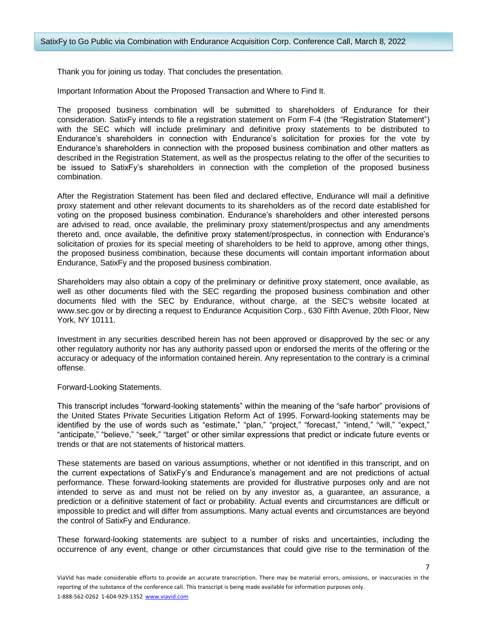Thank you for joining us today. That concludes the presentation.

Important Information About the Proposed Transaction and Where to Find It.

The proposed business combination will be submitted to shareholders of Endurance for their consideration. SatixFy intends to file a registration statement on Form F-4 (the "Registration Statement") with the SEC which will include preliminary and definitive proxy statements to be distributed to Endurance's shareholders in connection with Endurance's solicitation for proxies for the vote by Endurance's shareholders in connection with the proposed business combination and other matters as described in the Registration Statement, as well as the prospectus relating to the offer of the securities to be issued to SatixFy's shareholders in connection with the completion of the proposed business combination.

After the Registration Statement has been filed and declared effective, Endurance will mail a definitive proxy statement and other relevant documents to its shareholders as of the record date established for voting on the proposed business combination. Endurance's shareholders and other interested persons are advised to read, once available, the preliminary proxy statement/prospectus and any amendments thereto and, once available, the definitive proxy statement/prospectus, in connection with Endurance's solicitation of proxies for its special meeting of shareholders to be held to approve, among other things, the proposed business combination, because these documents will contain important information about Endurance, SatixFy and the proposed business combination.

Shareholders may also obtain a copy of the preliminary or definitive proxy statement, once available, as well as other documents filed with the SEC regarding the proposed business combination and other documents filed with the SEC by Endurance, without charge, at the SEC's website located at www.sec.gov or by directing a request to Endurance Acquisition Corp., 630 Fifth Avenue, 20th Floor, New York, NY 10111.

Investment in any securities described herein has not been approved or disapproved by the sec or any other regulatory authority nor has any authority passed upon or endorsed the merits of the offering or the accuracy or adequacy of the information contained herein. Any representation to the contrary is a criminal offense.

Forward-Looking Statements.

This transcript includes "forward-looking statements" within the meaning of the "safe harbor" provisions of the United States Private Securities Litigation Reform Act of 1995. Forward-looking statements may be identified by the use of words such as "estimate," "plan," "project," "forecast," "intend," "will," "expect," "anticipate," "believe," "seek," "target" or other similar expressions that predict or indicate future events or trends or that are not statements of historical matters.

These statements are based on various assumptions, whether or not identified in this transcript, and on the current expectations of SatixFy's and Endurance's management and are not predictions of actual performance. These forward-looking statements are provided for illustrative purposes only and are not intended to serve as and must not be relied on by any investor as, a guarantee, an assurance, a prediction or a definitive statement of fact or probability. Actual events and circumstances are difficult or impossible to predict and will differ from assumptions. Many actual events and circumstances are beyond the control of SatixFy and Endurance.

These forward-looking statements are subject to a number of risks and uncertainties, including the occurrence of any event, change or other circumstances that could give rise to the termination of the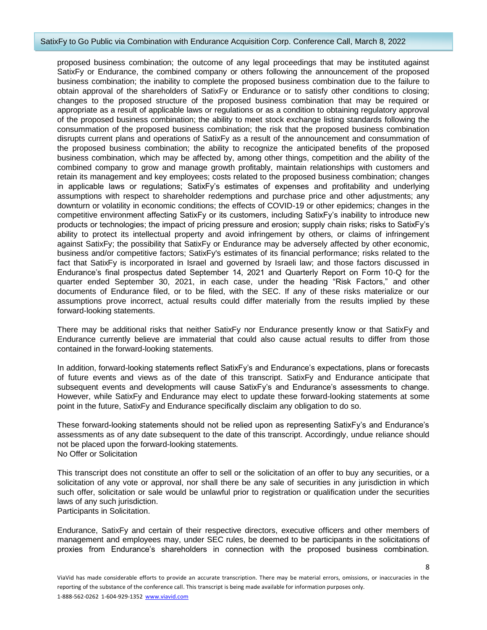#### SatixFy to Go Public via Combination with Endurance Acquisition Corp. Conference Call, March 8, 2022

proposed business combination; the outcome of any legal proceedings that may be instituted against SatixFy or Endurance, the combined company or others following the announcement of the proposed business combination; the inability to complete the proposed business combination due to the failure to obtain approval of the shareholders of SatixFy or Endurance or to satisfy other conditions to closing; changes to the proposed structure of the proposed business combination that may be required or appropriate as a result of applicable laws or regulations or as a condition to obtaining regulatory approval of the proposed business combination; the ability to meet stock exchange listing standards following the consummation of the proposed business combination; the risk that the proposed business combination disrupts current plans and operations of SatixFy as a result of the announcement and consummation of the proposed business combination; the ability to recognize the anticipated benefits of the proposed business combination, which may be affected by, among other things, competition and the ability of the combined company to grow and manage growth profitably, maintain relationships with customers and retain its management and key employees; costs related to the proposed business combination; changes in applicable laws or regulations; SatixFy's estimates of expenses and profitability and underlying assumptions with respect to shareholder redemptions and purchase price and other adjustments; any downturn or volatility in economic conditions; the effects of COVID-19 or other epidemics; changes in the competitive environment affecting SatixFy or its customers, including SatixFy's inability to introduce new products or technologies; the impact of pricing pressure and erosion; supply chain risks; risks to SatixFy's ability to protect its intellectual property and avoid infringement by others, or claims of infringement against SatixFy; the possibility that SatixFy or Endurance may be adversely affected by other economic, business and/or competitive factors; SatixFy's estimates of its financial performance; risks related to the fact that SatixFy is incorporated in Israel and governed by Israeli law; and those factors discussed in Endurance's final prospectus dated September 14, 2021 and Quarterly Report on Form 10-Q for the quarter ended September 30, 2021, in each case, under the heading "Risk Factors," and other documents of Endurance filed, or to be filed, with the SEC. If any of these risks materialize or our assumptions prove incorrect, actual results could differ materially from the results implied by these forward-looking statements.

There may be additional risks that neither SatixFy nor Endurance presently know or that SatixFy and Endurance currently believe are immaterial that could also cause actual results to differ from those contained in the forward-looking statements.

In addition, forward-looking statements reflect SatixFy's and Endurance's expectations, plans or forecasts of future events and views as of the date of this transcript. SatixFy and Endurance anticipate that subsequent events and developments will cause SatixFy's and Endurance's assessments to change. However, while SatixFy and Endurance may elect to update these forward-looking statements at some point in the future, SatixFy and Endurance specifically disclaim any obligation to do so.

These forward-looking statements should not be relied upon as representing SatixFy's and Endurance's assessments as of any date subsequent to the date of this transcript. Accordingly, undue reliance should not be placed upon the forward-looking statements. No Offer or Solicitation

This transcript does not constitute an offer to sell or the solicitation of an offer to buy any securities, or a solicitation of any vote or approval, nor shall there be any sale of securities in any jurisdiction in which such offer, solicitation or sale would be unlawful prior to registration or qualification under the securities laws of any such jurisdiction.

Participants in Solicitation.

Endurance, SatixFy and certain of their respective directors, executive officers and other members of management and employees may, under SEC rules, be deemed to be participants in the solicitations of proxies from Endurance's shareholders in connection with the proposed business combination.